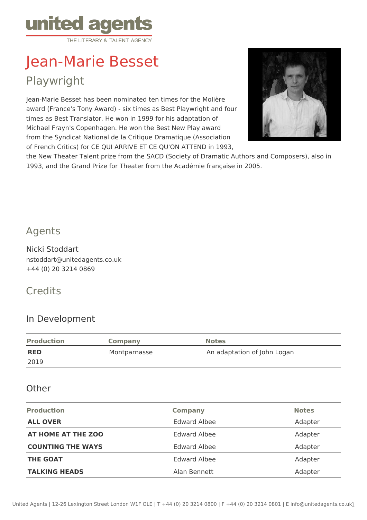

# Jean-Marie Besset Playwright

Jean-Marie Besset has been nominated ten times for the Molière award (France's Tony Award) - six times as Best Playwright and four times as Best Translator. He won in 1999 for his adaptation of Michael Frayn's Copenhagen. He won the Best New Play award from the Syndicat National de la Critique Dramatique (Association of French Critics) for CE QUI ARRIVE ET CE QU'ON ATTEND in 1993,



the New Theater Talent prize from the SACD (Society of Dramatic Authors and Composers), also in 1993, and the Grand Prize for Theater from the Académie française in 2005.

#### Agents

Nicki Stoddart nstoddart@unitedagents.co.uk +44 (0) 20 3214 0869

## **Credits**

#### In Development

| <b>Production</b> | Company      | <b>Notes</b>                |
|-------------------|--------------|-----------------------------|
| <b>RED</b>        | Montparnasse | An adaptation of John Logan |
| 2019              |              |                             |

#### **Other**

| <b>Production</b>        | <b>Company</b>      | <b>Notes</b> |
|--------------------------|---------------------|--------------|
| <b>ALL OVER</b>          | <b>Edward Albee</b> | Adapter      |
| AT HOME AT THE ZOO       | <b>Edward Albee</b> | Adapter      |
| <b>COUNTING THE WAYS</b> | <b>Edward Albee</b> | Adapter      |
| <b>THE GOAT</b>          | <b>Edward Albee</b> | Adapter      |
| <b>TALKING HEADS</b>     | Alan Bennett        | Adapter      |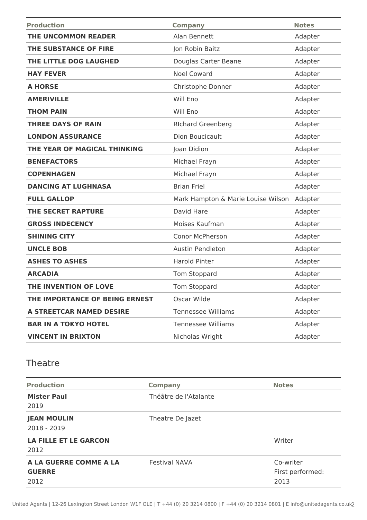| <b>Production</b>               | <b>Company</b>                     | <b>Notes</b> |
|---------------------------------|------------------------------------|--------------|
| THE UNCOMMON READER             | Alan Bennett                       | Adapter      |
| THE SUBSTANCE OF FIRE           | Jon Robin Baitz                    | Adapter      |
| THE LITTLE DOG LAUGHED          | Douglas Carter Beane               | Adapter      |
| <b>HAY FEVER</b>                | <b>Noel Coward</b>                 | Adapter      |
| <b>A HORSE</b>                  | Christophe Donner                  | Adapter      |
| <b>AMERIVILLE</b>               | Will Eno                           | Adapter      |
| <b>THOM PAIN</b>                | Will Eno                           | Adapter      |
| <b>THREE DAYS OF RAIN</b>       | <b>RIchard Greenberg</b>           | Adapter      |
| <b>LONDON ASSURANCE</b>         | Dion Boucicault                    | Adapter      |
| THE YEAR OF MAGICAL THINKING    | Joan Didion                        | Adapter      |
| <b>BENEFACTORS</b>              | Michael Frayn                      | Adapter      |
| <b>COPENHAGEN</b>               | Michael Frayn                      | Adapter      |
| <b>DANCING AT LUGHNASA</b>      | <b>Brian Friel</b>                 | Adapter      |
| <b>FULL GALLOP</b>              | Mark Hampton & Marie Louise Wilson | Adapter      |
| <b>THE SECRET RAPTURE</b>       | David Hare                         | Adapter      |
| <b>GROSS INDECENCY</b>          | Moises Kaufman                     | Adapter      |
| <b>SHINING CITY</b>             | Conor McPherson                    | Adapter      |
| <b>UNCLE BOB</b>                | <b>Austin Pendleton</b>            | Adapter      |
| <b>ASHES TO ASHES</b>           | <b>Harold Pinter</b>               | Adapter      |
| <b>ARCADIA</b>                  | Tom Stoppard                       | Adapter      |
| THE INVENTION OF LOVE           | Tom Stoppard                       | Adapter      |
| THE IMPORTANCE OF BEING ERNEST  | Oscar Wilde                        | Adapter      |
| <b>A STREETCAR NAMED DESIRE</b> | <b>Tennessee Williams</b>          | Adapter      |
| <b>BAR IN A TOKYO HOTEL</b>     | <b>Tennessee Williams</b>          | Adapter      |
| <b>VINCENT IN BRIXTON</b>       | Nicholas Wright                    | Adapter      |

### Theatre

| <b>Production</b>            | <b>Company</b>        | <b>Notes</b>     |
|------------------------------|-----------------------|------------------|
| <b>Mister Paul</b>           | Théâtre de l'Atalante |                  |
| 2019                         |                       |                  |
| <b>JEAN MOULIN</b>           | Theatre De Jazet      |                  |
| 2018 - 2019                  |                       |                  |
| <b>LA FILLE ET LE GARCON</b> |                       | Writer           |
| 2012                         |                       |                  |
| A LA GUERRE COMME A LA       | <b>Festival NAVA</b>  | Co-writer        |
| <b>GUERRE</b>                |                       | First performed: |
| 2012                         |                       | 2013             |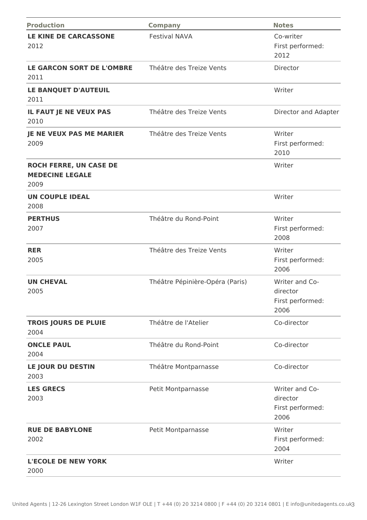| <b>Production</b>                                               | <b>Company</b>                  | <b>Notes</b>                                           |
|-----------------------------------------------------------------|---------------------------------|--------------------------------------------------------|
| LE KINE DE CARCASSONE<br>2012                                   | <b>Festival NAVA</b>            | Co-writer<br>First performed:<br>2012                  |
| <b>LE GARCON SORT DE L'OMBRE</b><br>2011                        | Théâtre des Treize Vents        | Director                                               |
| LE BANQUET D'AUTEUIL<br>2011                                    |                                 | Writer                                                 |
| IL FAUT JE NE VEUX PAS<br>2010                                  | Théâtre des Treize Vents        | Director and Adapter                                   |
| <b>JE NE VEUX PAS ME MARIER</b><br>2009                         | Théâtre des Treize Vents        | Writer<br>First performed:<br>2010                     |
| <b>ROCH FERRE, UN CASE DE</b><br><b>MEDECINE LEGALE</b><br>2009 |                                 | Writer                                                 |
| <b>UN COUPLE IDEAL</b><br>2008                                  |                                 | Writer                                                 |
| <b>PERTHUS</b><br>2007                                          | Théâtre du Rond-Point           | Writer<br>First performed:<br>2008                     |
| <b>RER</b><br>2005                                              | Théâtre des Treize Vents        | Writer<br>First performed:<br>2006                     |
| <b>UN CHEVAL</b><br>2005                                        | Théâtre Pépinière-Opéra (Paris) | Writer and Co-<br>director<br>First performed:<br>2006 |
| TROIS JOURS DE PLUIE<br>2004                                    | Théâtre de l'Atelier            | Co-director                                            |
| <b>ONCLE PAUL</b><br>2004                                       | Théâtre du Rond-Point           | Co-director                                            |
| LE JOUR DU DESTIN<br>2003                                       | Théâtre Montparnasse            | Co-director                                            |
| <b>LES GRECS</b><br>2003                                        | Petit Montparnasse              | Writer and Co-<br>director<br>First performed:<br>2006 |
| <b>RUE DE BABYLONE</b><br>2002                                  | Petit Montparnasse              | Writer<br>First performed:<br>2004                     |
| <b>L'ECOLE DE NEW YORK</b><br>2000                              |                                 | Writer                                                 |